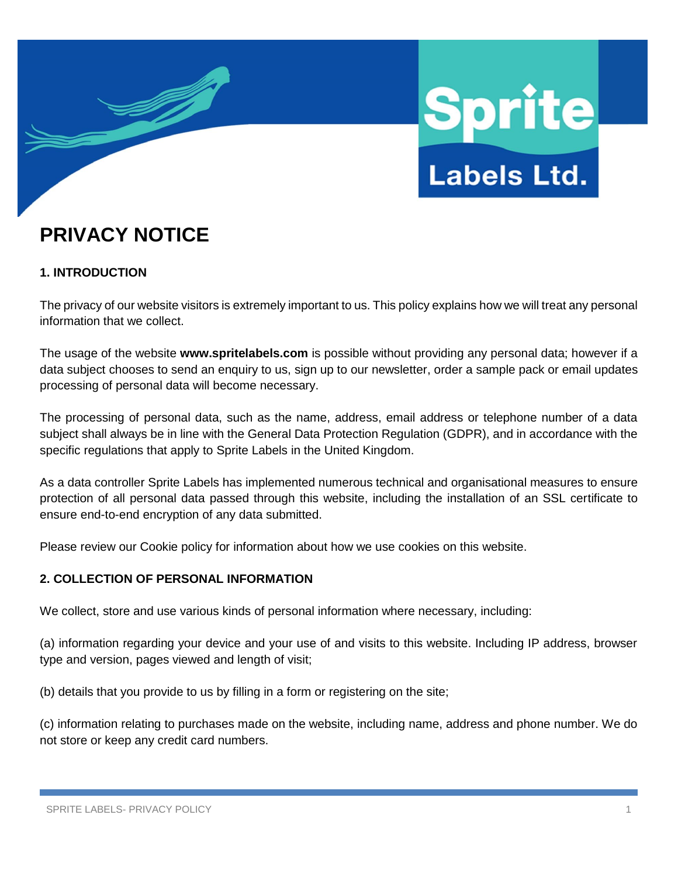

# **PRIVACY NOTICE**

# **1. INTRODUCTION**

The privacy of our website visitors is extremely important to us. This policy explains how we will treat any personal information that we collect.

The usage of the website **www.spritelabels.com** is possible without providing any personal data; however if a data subject chooses to send an enquiry to us, sign up to our newsletter, order a sample pack or email updates processing of personal data will become necessary.

The processing of personal data, such as the name, address, email address or telephone number of a data subject shall always be in line with the General Data Protection Regulation (GDPR), and in accordance with the specific regulations that apply to Sprite Labels in the United Kingdom.

As a data controller Sprite Labels has implemented numerous technical and organisational measures to ensure protection of all personal data passed through this website, including the installation of an SSL certificate to ensure end-to-end encryption of any data submitted.

Please review our Cookie policy for information about how we use cookies on this website.

# **2. COLLECTION OF PERSONAL INFORMATION**

We collect, store and use various kinds of personal information where necessary, including:

(a) information regarding your device and your use of and visits to this website. Including IP address, browser type and version, pages viewed and length of visit;

(b) details that you provide to us by filling in a form or registering on the site;

(c) information relating to purchases made on the website, including name, address and phone number. We do not store or keep any credit card numbers.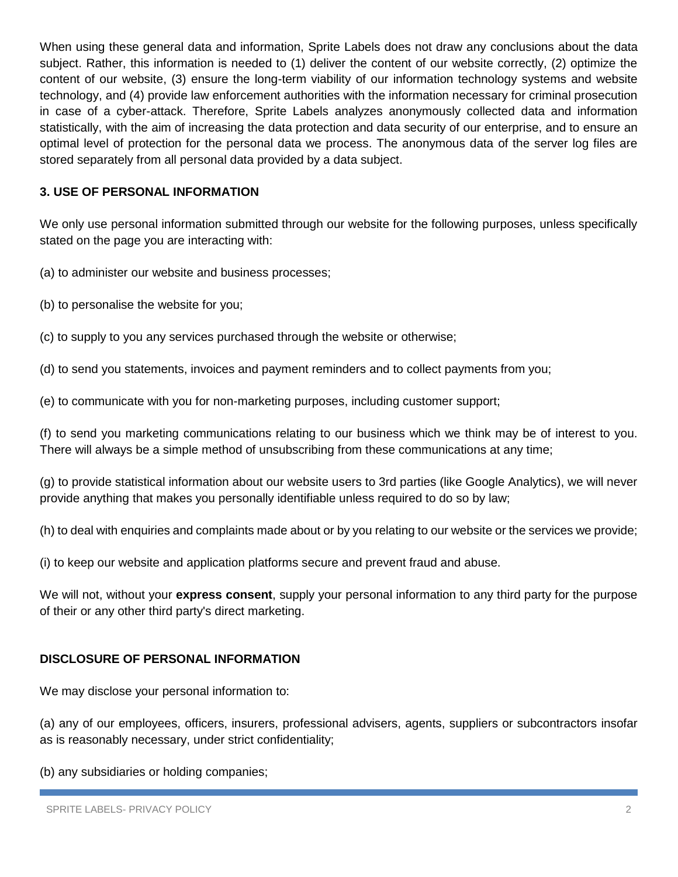When using these general data and information, Sprite Labels does not draw any conclusions about the data subject. Rather, this information is needed to (1) deliver the content of our website correctly, (2) optimize the content of our website, (3) ensure the long-term viability of our information technology systems and website technology, and (4) provide law enforcement authorities with the information necessary for criminal prosecution in case of a cyber-attack. Therefore, Sprite Labels analyzes anonymously collected data and information statistically, with the aim of increasing the data protection and data security of our enterprise, and to ensure an optimal level of protection for the personal data we process. The anonymous data of the server log files are stored separately from all personal data provided by a data subject.

## **3. USE OF PERSONAL INFORMATION**

We only use personal information submitted through our website for the following purposes, unless specifically stated on the page you are interacting with:

(a) to administer our website and business processes;

(b) to personalise the website for you;

(c) to supply to you any services purchased through the website or otherwise;

(d) to send you statements, invoices and payment reminders and to collect payments from you;

(e) to communicate with you for non-marketing purposes, including customer support;

(f) to send you marketing communications relating to our business which we think may be of interest to you. There will always be a simple method of unsubscribing from these communications at any time;

(g) to provide statistical information about our website users to 3rd parties (like Google Analytics), we will never provide anything that makes you personally identifiable unless required to do so by law;

(h) to deal with enquiries and complaints made about or by you relating to our website or the services we provide;

(i) to keep our website and application platforms secure and prevent fraud and abuse.

We will not, without your **express consent**, supply your personal information to any third party for the purpose of their or any other third party's direct marketing.

#### **DISCLOSURE OF PERSONAL INFORMATION**

We may disclose your personal information to:

(a) any of our employees, officers, insurers, professional advisers, agents, suppliers or subcontractors insofar as is reasonably necessary, under strict confidentiality;

(b) any subsidiaries or holding companies;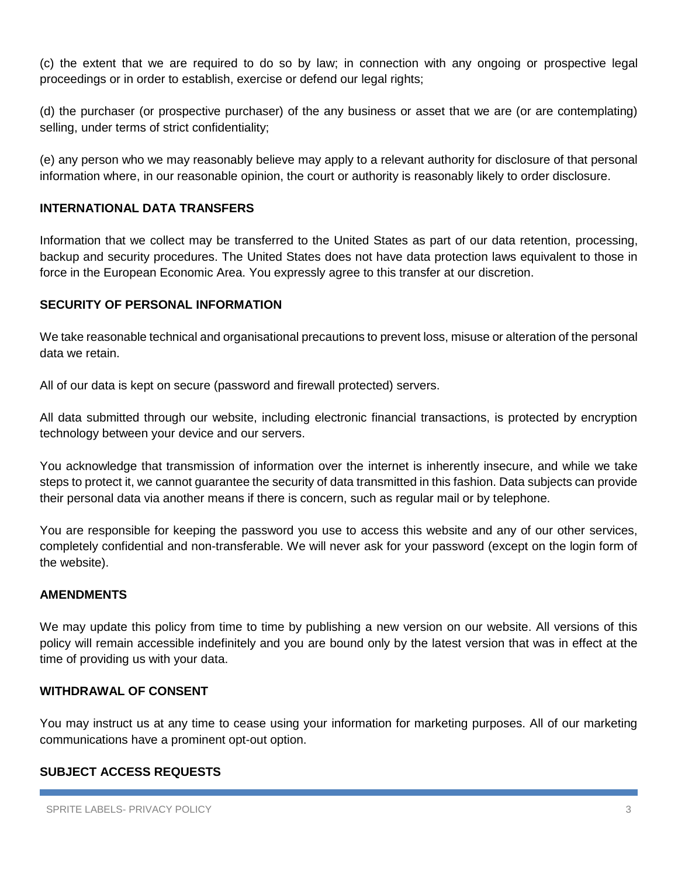(c) the extent that we are required to do so by law; in connection with any ongoing or prospective legal proceedings or in order to establish, exercise or defend our legal rights;

(d) the purchaser (or prospective purchaser) of the any business or asset that we are (or are contemplating) selling, under terms of strict confidentiality;

(e) any person who we may reasonably believe may apply to a relevant authority for disclosure of that personal information where, in our reasonable opinion, the court or authority is reasonably likely to order disclosure.

## **INTERNATIONAL DATA TRANSFERS**

Information that we collect may be transferred to the United States as part of our data retention, processing, backup and security procedures. The United States does not have data protection laws equivalent to those in force in the European Economic Area. You expressly agree to this transfer at our discretion.

## **SECURITY OF PERSONAL INFORMATION**

We take reasonable technical and organisational precautions to prevent loss, misuse or alteration of the personal data we retain.

All of our data is kept on secure (password and firewall protected) servers.

All data submitted through our website, including electronic financial transactions, is protected by encryption technology between your device and our servers.

You acknowledge that transmission of information over the internet is inherently insecure, and while we take steps to protect it, we cannot guarantee the security of data transmitted in this fashion. Data subjects can provide their personal data via another means if there is concern, such as regular mail or by telephone.

You are responsible for keeping the password you use to access this website and any of our other services, completely confidential and non-transferable. We will never ask for your password (except on the login form of the website).

#### **AMENDMENTS**

We may update this policy from time to time by publishing a new version on our website. All versions of this policy will remain accessible indefinitely and you are bound only by the latest version that was in effect at the time of providing us with your data.

## **WITHDRAWAL OF CONSENT**

You may instruct us at any time to cease using your information for marketing purposes. All of our marketing communications have a prominent opt-out option.

#### **SUBJECT ACCESS REQUESTS**